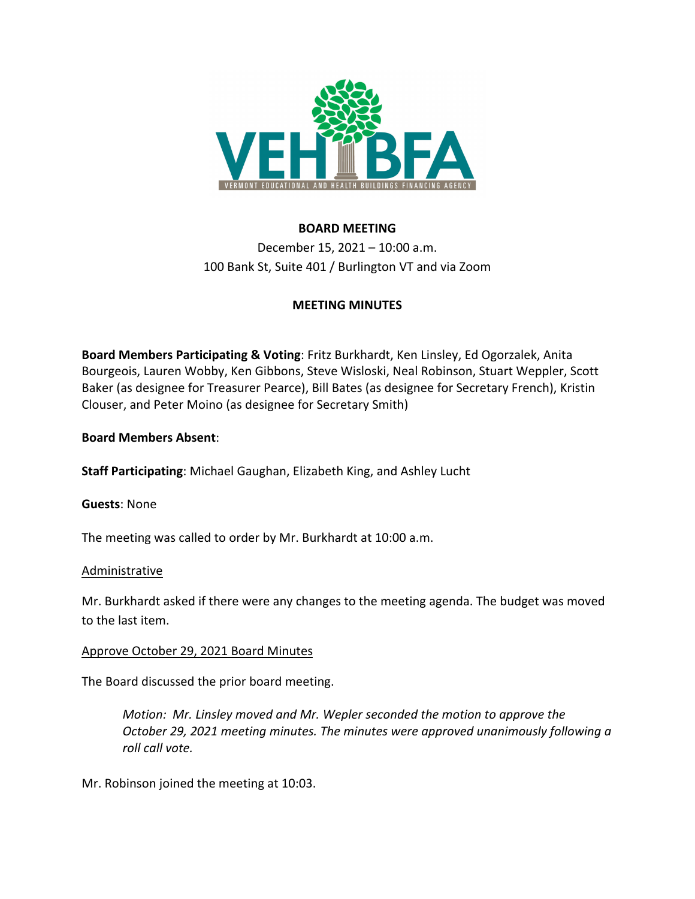

# **BOARD MEETING**

December 15, 2021 – 10:00 a.m. 100 Bank St, Suite 401 / Burlington VT and via Zoom

# **MEETING MINUTES**

**Board Members Participating & Voting**: Fritz Burkhardt, Ken Linsley, Ed Ogorzalek, Anita Bourgeois, Lauren Wobby, Ken Gibbons, Steve Wisloski, Neal Robinson, Stuart Weppler, Scott Baker (as designee for Treasurer Pearce), Bill Bates (as designee for Secretary French), Kristin Clouser, and Peter Moino (as designee for Secretary Smith)

**Board Members Absent**:

**Staff Participating**: Michael Gaughan, Elizabeth King, and Ashley Lucht

### **Guests**: None

The meeting was called to order by Mr. Burkhardt at 10:00 a.m.

### Administrative

Mr. Burkhardt asked if there were any changes to the meeting agenda. The budget was moved to the last item.

### Approve October 29, 2021 Board Minutes

The Board discussed the prior board meeting.

*Motion: Mr. Linsley moved and Mr. Wepler seconded the motion to approve the October 29, 2021 meeting minutes. The minutes were approved unanimously following a roll call vote.* 

Mr. Robinson joined the meeting at 10:03.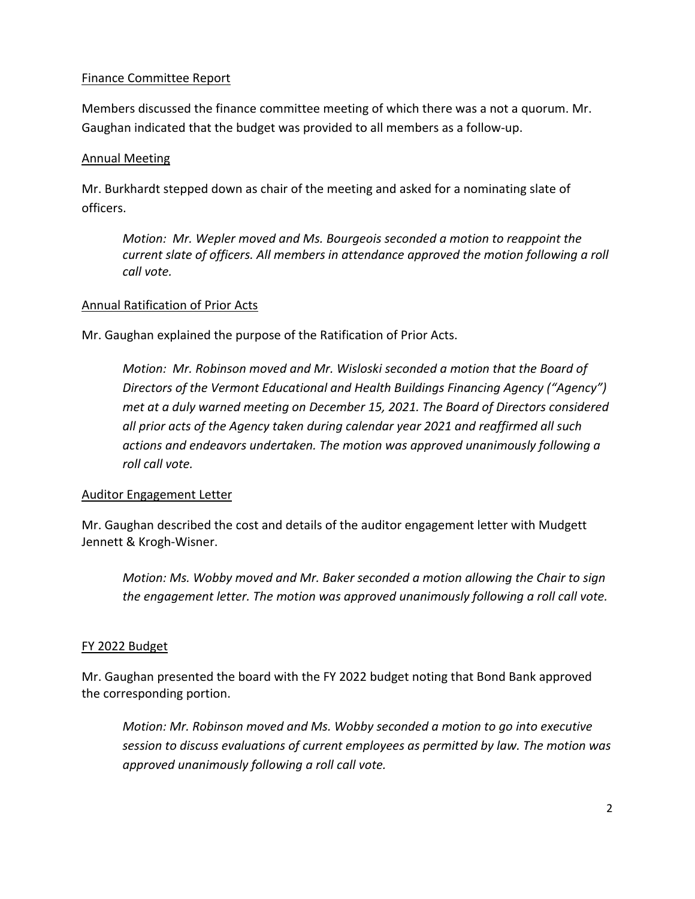### Finance Committee Report

Members discussed the finance committee meeting of which there was a not a quorum. Mr. Gaughan indicated that the budget was provided to all members as a follow‐up.

### Annual Meeting

Mr. Burkhardt stepped down as chair of the meeting and asked for a nominating slate of officers.

*Motion: Mr. Wepler moved and Ms. Bourgeois seconded a motion to reappoint the current slate of officers. All members in attendance approved the motion following a roll call vote.* 

### Annual Ratification of Prior Acts

Mr. Gaughan explained the purpose of the Ratification of Prior Acts.

*Motion: Mr. Robinson moved and Mr. Wisloski seconded a motion that the Board of Directors of the Vermont Educational and Health Buildings Financing Agency ("Agency") met at a duly warned meeting on December 15, 2021. The Board of Directors considered all prior acts of the Agency taken during calendar year 2021 and reaffirmed all such actions and endeavors undertaken. The motion was approved unanimously following a roll call vote.* 

# Auditor Engagement Letter

Mr. Gaughan described the cost and details of the auditor engagement letter with Mudgett Jennett & Krogh‐Wisner.

*Motion: Ms. Wobby moved and Mr. Baker seconded a motion allowing the Chair to sign the engagement letter. The motion was approved unanimously following a roll call vote.*

# FY 2022 Budget

Mr. Gaughan presented the board with the FY 2022 budget noting that Bond Bank approved the corresponding portion.

*Motion: Mr. Robinson moved and Ms. Wobby seconded a motion to go into executive session to discuss evaluations of current employees as permitted by law. The motion was approved unanimously following a roll call vote.*